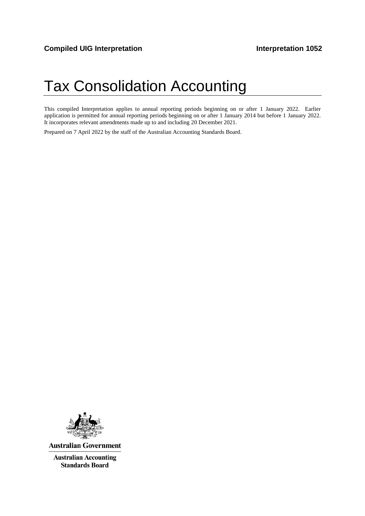# Tax Consolidation Accounting

This compiled Interpretation applies to annual reporting periods beginning on or after 1 January 2022. Earlier application is permitted for annual reporting periods beginning on or after 1 January 2014 but before 1 January 2022. It incorporates relevant amendments made up to and including 20 December 2021.

Prepared on 7 April 2022 by the staff of the Australian Accounting Standards Board.



**Australian Government** 

**Australian Accounting Standards Board**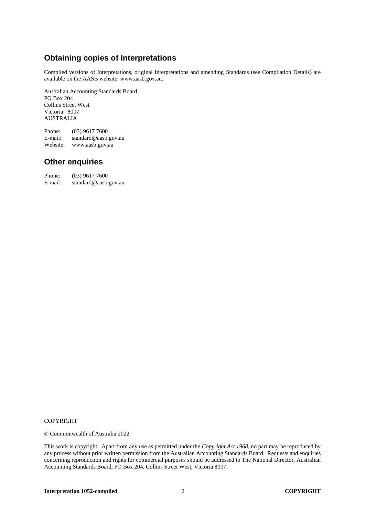# **Obtaining copies of Interpretations**

Compiled versions of Interpretations, original Interpretations and amending Standards (see Compilation Details) are available on the AASB website: www.aasb.gov.au.

Australian Accounting Standards Board PO Box 204 Collins Street West Victoria 8007 AUSTRALIA

Phone: (03) 9617 7600<br>E-mail: standard@aasb. standard@aasb.gov.au Website: www.aasb.gov.au

## **Other enquiries**

Phone: (03) 9617 7600<br>E-mail: standard@aasb. standard@aasb.gov.au

#### COPYRIGHT

© Commonwealth of Australia 2022

This work is copyright. Apart from any use as permitted under the *Copyright Act 1968*, no part may be reproduced by any process without prior written permission from the Australian Accounting Standards Board. Requests and enquiries concerning reproduction and rights for commercial purposes should be addressed to The National Director, Australian Accounting Standards Board, PO Box 204, Collins Street West, Victoria 8007.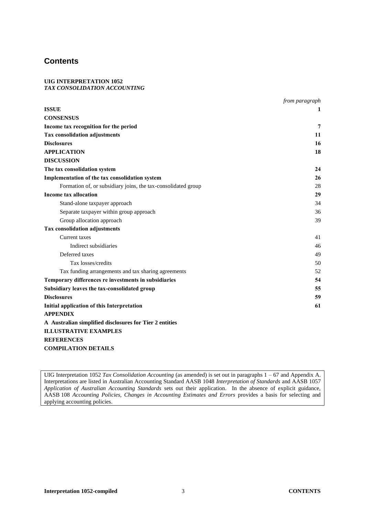## **Contents**

#### **UIG INTERPRETATION 1052** *TAX CONSOLIDATION ACCOUNTING*

|                                                               | from paragraph |
|---------------------------------------------------------------|----------------|
| <b>ISSUE</b>                                                  | 1              |
| <b>CONSENSUS</b>                                              |                |
| Income tax recognition for the period                         | 7              |
| Tax consolidation adjustments                                 | 11             |
| <b>Disclosures</b>                                            | 16             |
| <b>APPLICATION</b>                                            | 18             |
| <b>DISCUSSION</b>                                             |                |
| The tax consolidation system                                  | 24             |
| Implementation of the tax consolidation system                | 26             |
| Formation of, or subsidiary joins, the tax-consolidated group | 28             |
| <b>Income tax allocation</b>                                  | 29             |
| Stand-alone taxpayer approach                                 | 34             |
| Separate taxpayer within group approach                       | 36             |
| Group allocation approach                                     | 39             |
| <b>Tax consolidation adjustments</b>                          |                |
| Current taxes                                                 | 41             |
| Indirect subsidiaries                                         | 46             |
| Deferred taxes                                                | 49             |
| Tax losses/credits                                            | 50             |
| Tax funding arrangements and tax sharing agreements           | 52             |
| Temporary differences re investments in subsidiaries          | 54             |
| Subsidiary leaves the tax-consolidated group                  | 55             |
| <b>Disclosures</b>                                            | 59             |
| <b>Initial application of this Interpretation</b>             | 61             |
| <b>APPENDIX</b>                                               |                |
| A Australian simplified disclosures for Tier 2 entities       |                |
| <b>ILLUSTRATIVE EXAMPLES</b>                                  |                |
| <b>REFERENCES</b>                                             |                |
| <b>COMPILATION DETAILS</b>                                    |                |

UIG Interpretation 1052 *Tax Consolidation Accounting* (as amended) is set out in paragraphs 1 – 67 and Appendix A. Interpretations are listed in Australian Accounting Standard AASB 1048 *Interpretation of Standards* and AASB 1057 *Application of Australian Accounting Standards* sets out their application. In the absence of explicit guidance, AASB 108 *Accounting Policies, Changes in Accounting Estimates and Errors* provides a basis for selecting and applying accounting policies.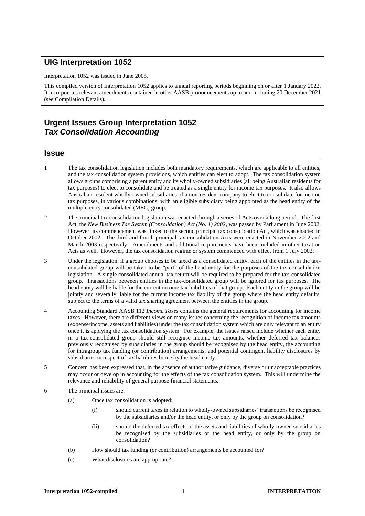### **UIG Interpretation 1052**

Interpretation 1052 was issued in June 2005*.*

This compiled version of Interpretation 1052 applies to annual reporting periods beginning on or after 1 January 2022. It incorporates relevant amendments contained in other AASB pronouncements up to and including 20 December 2021 (see Compilation Details).

# **Urgent Issues Group Interpretation 1052** *Tax Consolidation Accounting*

#### **Issue**

- 1 The tax consolidation legislation includes both mandatory requirements, which are applicable to all entities, and the tax consolidation system provisions, which entities can elect to adopt. The tax consolidation system allows groups comprising a parent entity and its wholly-owned subsidiaries (all being Australian residents for tax purposes) to elect to consolidate and be treated as a single entity for income tax purposes. It also allows Australian-resident wholly-owned subsidiaries of a non-resident company to elect to consolidate for income tax purposes, in various combinations, with an eligible subsidiary being appointed as the head entity of the multiple entry consolidated (MEC) group.
- 2 The principal tax consolidation legislation was enacted through a series of Acts over a long period. The first Act, the *New Business Tax System (Consolidation) Act (No. 1) 2002*, was passed by Parliament in June 2002. However, its commencement was linked to the second principal tax consolidation Act, which was enacted in October 2002. The third and fourth principal tax consolidation Acts were enacted in November 2002 and March 2003 respectively. Amendments and additional requirements have been included in other taxation Acts as well. However, the tax consolidation regime or system commenced with effect from 1 July 2002.
- 3 Under the legislation, if a group chooses to be taxed as a consolidated entity, each of the entities in the taxconsolidated group will be taken to be "part" of the head entity for the purposes of the tax consolidation legislation. A single consolidated annual tax return will be required to be prepared for the tax-consolidated group. Transactions between entities in the tax-consolidated group will be ignored for tax purposes. The head entity will be liable for the current income tax liabilities of that group. Each entity in the group will be jointly and severally liable for the current income tax liability of the group where the head entity defaults, subject to the terms of a valid tax sharing agreement between the entities in the group.
- 4 Accounting Standard AASB 112 *Income Taxes* contains the general requirements for accounting for income taxes. However, there are different views on many issues concerning the recognition of income tax amounts (expense/income, assets and liabilities) under the tax consolidation system which are only relevant to an entity once it is applying the tax consolidation system. For example, the issues raised include whether each entity in a tax-consolidated group should still recognise income tax amounts, whether deferred tax balances previously recognised by subsidiaries in the group should be recognised by the head entity, the accounting for intragroup tax funding (or contribution) arrangements, and potential contingent liability disclosures by subsidiaries in respect of tax liabilities borne by the head entity.
- 5 Concern has been expressed that, in the absence of authoritative guidance, diverse or unacceptable practices may occur or develop in accounting for the effects of the tax consolidation system. This will undermine the relevance and reliability of general purpose financial statements.
- 6 The principal issues are:
	- (a) Once tax consolidation is adopted:
		- (i) should current taxes in relation to wholly-owned subsidiaries' transactions be recognised by the subsidiaries and/or the head entity, or only by the group on consolidation?
		- (ii) should the deferred tax effects of the assets and liabilities of wholly-owned subsidiaries be recognised by the subsidiaries or the head entity, or only by the group on consolidation?
	- (b) How should tax funding (or contribution) arrangements be accounted for?
	- (c) What disclosures are appropriate?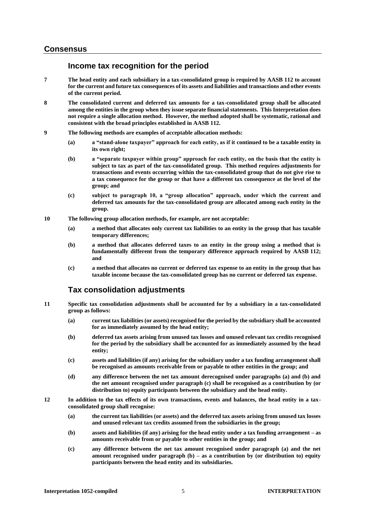## **Consensus**

## **Income tax recognition for the period**

- **7 The head entity and each subsidiary in a tax-consolidated group is required by AASB 112 to account for the current and future tax consequences of its assets and liabilities and transactions and other events of the current period.**
- **8 The consolidated current and deferred tax amounts for a tax-consolidated group shall be allocated among the entities in the group when they issue separate financial statements. This Interpretation does not require a single allocation method. However, the method adopted shall be systematic, rational and consistent with the broad principles established in AASB 112.**
- **9 The following methods are examples of acceptable allocation methods:**
	- **(a) a "stand-alone taxpayer" approach for each entity, as if it continued to be a taxable entity in its own right;**
	- **(b) a "separate taxpayer within group" approach for each entity, on the basis that the entity is subject to tax as part of the tax-consolidated group. This method requires adjustments for transactions and events occurring within the tax-consolidated group that do not give rise to a tax consequence for the group or that have a different tax consequence at the level of the group; and**
	- **(c) subject to paragraph 10, a "group allocation" approach, under which the current and deferred tax amounts for the tax-consolidated group are allocated among each entity in the group.**
- **10 The following group allocation methods, for example, are not acceptable:**
	- **(a) a method that allocates only current tax liabilities to an entity in the group that has taxable temporary differences;**
	- **(b) a method that allocates deferred taxes to an entity in the group using a method that is fundamentally different from the temporary difference approach required by AASB 112; and**
	- **(c) a method that allocates no current or deferred tax expense to an entity in the group that has taxable income because the tax-consolidated group has no current or deferred tax expense.**

## **Tax consolidation adjustments**

- **11 Specific tax consolidation adjustments shall be accounted for by a subsidiary in a tax-consolidated group as follows:**
	- **(a) current tax liabilities (or assets) recognised for the period by the subsidiary shall be accounted for as immediately assumed by the head entity;**
	- **(b) deferred tax assets arising from unused tax losses and unused relevant tax credits recognised for the period by the subsidiary shall be accounted for as immediately assumed by the head entity;**
	- **(c) assets and liabilities (if any) arising for the subsidiary under a tax funding arrangement shall be recognised as amounts receivable from or payable to other entities in the group; and**
	- **(d) any difference between the net tax amount derecognised under paragraphs (a) and (b) and the net amount recognised under paragraph (c) shall be recognised as a contribution by (or distribution to) equity participants between the subsidiary and the head entity.**
- **12 In addition to the tax effects of its own transactions, events and balances, the head entity in a taxconsolidated group shall recognise:**
	- **(a) the current tax liabilities (or assets) and the deferred tax assets arising from unused tax losses and unused relevant tax credits assumed from the subsidiaries in the group;**
	- **(b) assets and liabilities (if any) arising for the head entity under a tax funding arrangement – as amounts receivable from or payable to other entities in the group; and**
	- **(c) any difference between the net tax amount recognised under paragraph (a) and the net amount recognised under paragraph (b) – as a contribution by (or distribution to) equity participants between the head entity and its subsidiaries.**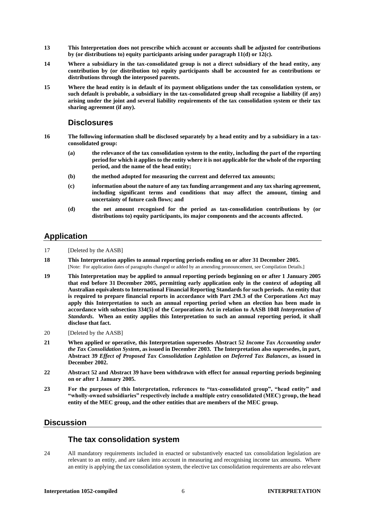- **13 This Interpretation does not prescribe which account or accounts shall be adjusted for contributions by (or distributions to) equity participants arising under paragraph 11(d) or 12(c).**
- **14 Where a subsidiary in the tax-consolidated group is not a direct subsidiary of the head entity, any contribution by (or distribution to) equity participants shall be accounted for as contributions or distributions through the interposed parents.**
- **15 Where the head entity is in default of its payment obligations under the tax consolidation system, or such default is probable, a subsidiary in the tax-consolidated group shall recognise a liability (if any) arising under the joint and several liability requirements of the tax consolidation system or their tax sharing agreement (if any).**

#### **Disclosures**

- **16 The following information shall be disclosed separately by a head entity and by a subsidiary in a taxconsolidated group:**
	- **(a) the relevance of the tax consolidation system to the entity, including the part of the reporting period for which it applies to the entity where it is not applicable for the whole of the reporting period, and the name of the head entity;**
	- **(b) the method adopted for measuring the current and deferred tax amounts;**
	- **(c) information about the nature of any tax funding arrangement and any tax sharing agreement, including significant terms and conditions that may affect the amount, timing and uncertainty of future cash flows; and**
	- **(d) the net amount recognised for the period as tax-consolidation contributions by (or distributions to) equity participants, its major components and the accounts affected.**

# **Application**

- 17 [Deleted by the AASB]
- **18 This Interpretation applies to annual reporting periods ending on or after 31 December 2005.** [Note: For application dates of paragraphs changed or added by an amending pronouncement, see Compilation Details.]
- **19 This Interpretation may be applied to annual reporting periods beginning on or after 1 January 2005 that end before 31 December 2005, permitting early application only in the context of adopting all Australian equivalents to International Financial Reporting Standards for such periods. An entity that is required to prepare financial reports in accordance with Part 2M.3 of the Corporations Act may apply this Interpretation to such an annual reporting period when an election has been made in accordance with subsection 334(5) of the Corporations Act in relation to AASB 1048** *Interpretation of Standards***. When an entity applies this Interpretation to such an annual reporting period, it shall disclose that fact.**
- 20 [Deleted by the AASB]
- **21 When applied or operative, this Interpretation supersedes Abstract 52** *Income Tax Accounting under the Tax Consolidation System***, as issued in December 2003. The Interpretation also supersedes, in part, Abstract 39** *Effect of Proposed Tax Consolidation Legislation on Deferred Tax Balances***, as issued in December 2002.**
- **22 Abstract 52 and Abstract 39 have been withdrawn with effect for annual reporting periods beginning on or after 1 January 2005.**
- **23 For the purposes of this Interpretation, references to "tax-consolidated group", "head entity" and "wholly-owned subsidiaries" respectively include a multiple entry consolidated (MEC) group, the head entity of the MEC group, and the other entities that are members of the MEC group.**

## **Discussion**

# **The tax consolidation system**

24 All mandatory requirements included in enacted or substantively enacted tax consolidation legislation are relevant to an entity, and are taken into account in measuring and recognising income tax amounts. Where an entity is applying the tax consolidation system, the elective tax consolidation requirements are also relevant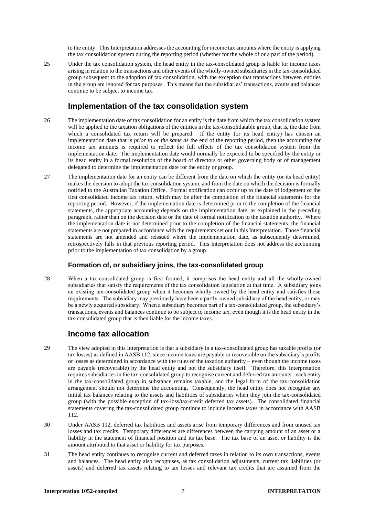to the entity. This Interpretation addresses the accounting for income tax amounts where the entity is applying the tax consolidation system during the reporting period (whether for the whole of or a part of the period).

25 Under the tax consolidation system, the head entity in the tax-consolidated group is liable for income taxes arising in relation to the transactions and other events of the wholly-owned subsidiaries in the tax-consolidated group subsequent to the adoption of tax consolidation, with the exception that transactions between entities in the group are ignored for tax purposes. This means that the subsidiaries' transactions, events and balances continue to be subject to income tax.

### **Implementation of the tax consolidation system**

- 26 The implementation date of tax consolidation for an entity is the date from which the tax consolidation system will be applied to the taxation obligations of the entities in the tax-consolidatable group, that is, the date from which a consolidated tax return will be prepared. If the entity (or its head entity) has chosen an implementation date that is *prior to or the same as* the end of the reporting period, then the accounting for income tax amounts is required to reflect the full effects of the tax consolidation system from the implementation date. The implementation date would normally be expected to be specified by the entity or its head entity in a formal resolution of the board of directors or other governing body or of management delegated to determine the implementation date for the entity or group.
- 27 The implementation date for an entity can be different from the date on which the entity (or its head entity) makes the decision to adopt the tax consolidation system, and from the date on which the decision is formally notified to the Australian Taxation Office. Formal notification can occur up to the date of lodgement of the first consolidated income tax return, which may be after the completion of the financial statements for the reporting period. However, if the implementation date is determined prior to the completion of the financial statements, the appropriate accounting depends on the implementation date, as explained in the preceding paragraph, rather than on the decision date or the date of formal notification to the taxation authority. Where the implementation date is not determined prior to the completion of the financial statements, the financial statements are not prepared in accordance with the requirements set out in this Interpretation. Those financial statements are not amended and reissued where the implementation date, as subsequently determined, retrospectively falls in that previous reporting period. This Interpretation does not address the accounting prior to the implementation of tax consolidation by a group.

#### **Formation of, or subsidiary joins, the tax-consolidated group**

28 When a tax-consolidated group is first formed, it comprises the head entity and all the wholly-owned subsidiaries that satisfy the requirements of the tax consolidation legislation at that time. A subsidiary joins an existing tax-consolidated group when it becomes wholly owned by the head entity and satisfies those requirements. The subsidiary may previously have been a partly-owned subsidiary of the head entity, or may be a newly acquired subsidiary. When a subsidiary becomes part of a tax-consolidated group, the subsidiary's transactions, events and balances continue to be subject to income tax, even though it is the head entity in the tax-consolidated group that is then liable for the income taxes.

#### **Income tax allocation**

- 29 The view adopted in this Interpretation is that a subsidiary in a tax-consolidated group has taxable profits (or tax losses) as defined in AASB 112, since income taxes are payable or recoverable on the subsidiary's profits or losses as determined in accordance with the rules of the taxation authority – even though the income taxes are payable (recoverable) by the head entity and not the subsidiary itself. Therefore, this Interpretation requires subsidiaries in the tax-consolidated group to recognise current and deferred tax amounts: each entity in the tax-consolidated group in substance remains taxable, and the legal form of the tax-consolidation arrangement should not determine the accounting. Consequently, the head entity does not recognise any initial tax balances relating to the assets and liabilities of subsidiaries when they join the tax-consolidated group (with the possible exception of tax-loss/tax-credit deferred tax assets). The consolidated financial statements covering the tax-consolidated group continue to include income taxes in accordance with AASB 112.
- 30 Under AASB 112, deferred tax liabilities and assets arise from temporary differences and from unused tax losses and tax credits. Temporary differences are differences between the carrying amount of an asset or a liability in the statement of financial position and its tax base. The tax base of an asset or liability is the amount attributed to that asset or liability for tax purposes.
- 31 The head entity continues to recognise current and deferred taxes in relation to its own transactions, events and balances. The head entity also recognises, as tax consolidation adjustments, current tax liabilities (or assets) and deferred tax assets relating to tax losses and relevant tax credits that are assumed from the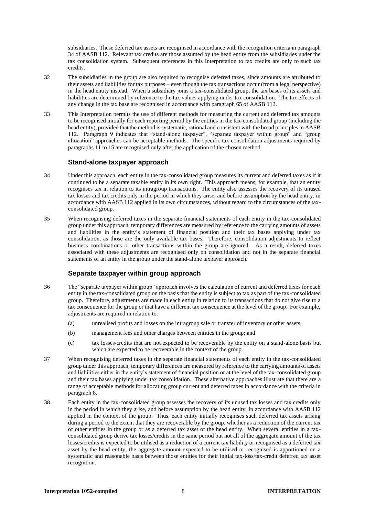subsidiaries. These deferred tax assets are recognised in accordance with the recognition criteria in paragraph 34 of AASB 112. Relevant tax credits are those assumed by the head entity from the subsidiaries under the tax consolidation system. Subsequent references in this Interpretation to tax credits are only to such tax credits.

- 32 The subsidiaries in the group are also required to recognise deferred taxes, since amounts are attributed to their assets and liabilities for tax purposes – even though the tax transactions occur (from a legal perspective) in the head entity instead. When a subsidiary joins a tax-consolidated group, the tax bases of its assets and liabilities are determined by reference to the tax values applying under tax consolidation. The tax effects of any change in the tax base are recognised in accordance with paragraph 65 of AASB 112.
- 33 This Interpretation permits the use of different methods for measuring the current and deferred tax amounts to be recognised initially for each reporting period by the entities in the tax-consolidated group (including the head entity), provided that the method is systematic, rational and consistent with the broad principles in AASB 112. Paragraph 9 indicates that "stand-alone taxpayer", "separate taxpayer within group" and "group allocation" approaches can be acceptable methods. The specific tax consolidation adjustments required by paragraphs 11 to 15 are recognised only after the application of the chosen method.

#### **Stand-alone taxpayer approach**

- 34 Under this approach, each entity in the tax-consolidated group measures its current and deferred taxes as if it continued to be a separate taxable entity in its own right. This approach means, for example, that an entity recognises tax in relation to its intragroup transactions. The entity also assesses the recovery of its unused tax losses and tax credits only in the period in which they arise, and before assumption by the head entity, in accordance with AASB 112 applied in its own circumstances, without regard to the circumstances of the taxconsolidated group.
- 35 When recognising deferred taxes in the separate financial statements of each entity in the tax-consolidated group under this approach, temporary differences are measured by reference to the carrying amounts of assets and liabilities in the entity's statement of financial position and their tax bases applying under tax consolidation, as those are the only available tax bases. Therefore, consolidation adjustments to reflect business combinations or other transactions within the group are ignored. As a result, deferred taxes associated with these adjustments are recognised only on consolidation and not in the separate financial statements of an entity in the group under the stand-alone taxpayer approach.

#### **Separate taxpayer within group approach**

- 36 The "separate taxpayer within group" approach involves the calculation of current and deferred taxes for each entity in the tax-consolidated group on the basis that the entity is subject to tax as part of the tax-consolidated group. Therefore, adjustments are made in each entity in relation to its transactions that do not give rise to a tax consequence for the group or that have a different tax consequence at the level of the group. For example, adjustments are required in relation to:
	- (a) unrealised profits and losses on the intragroup sale or transfer of inventory or other assets;
	- (b) management fees and other charges between entities in the group; and
	- (c) tax losses/credits that are not expected to be recoverable by the entity on a stand-alone basis but which are expected to be recoverable in the context of the group.
- 37 When recognising deferred taxes in the separate financial statements of each entity in the tax-consolidated group under this approach, temporary differences are measured by reference to the carrying amounts of assets and liabilities either in the entity's statement of financial position or at the level of the tax-consolidated group and their tax bases applying under tax consolidation. These alternative approaches illustrate that there are a range of acceptable methods for allocating group current and deferred taxes in accordance with the criteria in paragraph 8.
- 38 Each entity in the tax-consolidated group assesses the recovery of its unused tax losses and tax credits only in the period in which they arise, and before assumption by the head entity, in accordance with AASB 112 applied in the context of the group. Thus, each entity initially recognises such deferred tax assets arising during a period to the extent that they are recoverable by the group, whether as a reduction of the current tax of other entities in the group or as a deferred tax asset of the head entity. When several entities in a taxconsolidated group derive tax losses/credits in the same period but not all of the aggregate amount of the tax losses/credits is expected to be utilised as a reduction of a current tax liability or recognised as a deferred tax asset by the head entity, the aggregate amount expected to be utilised or recognised is apportioned on a systematic and reasonable basis between those entities for their initial tax-loss/tax-credit deferred tax asset recognition.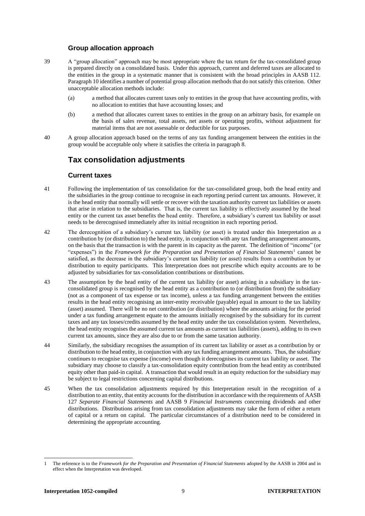#### **Group allocation approach**

- 39 A "group allocation" approach may be most appropriate where the tax return for the tax-consolidated group is prepared directly on a consolidated basis. Under this approach, current and deferred taxes are allocated to the entities in the group in a systematic manner that is consistent with the broad principles in AASB 112. Paragraph 10 identifies a number of potential group allocation methods that do not satisfy this criterion. Other unacceptable allocation methods include:
	- (a) a method that allocates current taxes only to entities in the group that have accounting profits, with no allocation to entities that have accounting losses; and
	- (b) a method that allocates current taxes to entities in the group on an arbitrary basis, for example on the basis of sales revenue, total assets, net assets or operating profits, without adjustment for material items that are not assessable or deductible for tax purposes.
- 40 A group allocation approach based on the terms of any tax funding arrangement between the entities in the group would be acceptable only where it satisfies the criteria in paragraph 8.

## **Tax consolidation adjustments**

#### **Current taxes**

- 41 Following the implementation of tax consolidation for the tax-consolidated group, both the head entity and the subsidiaries in the group continue to recognise in each reporting period current tax amounts. However, it is the head entity that normally will settle or recover with the taxation authority current tax liabilities or assets that arise in relation to the subsidiaries. That is, the current tax liability is effectively assumed by the head entity or the current tax asset benefits the head entity. Therefore, a subsidiary's current tax liability or asset needs to be derecognised immediately after its initial recognition in each reporting period.
- 42 The derecognition of a subsidiary's current tax liability (or asset) is treated under this Interpretation as a contribution by (or distribution to) the head entity, in conjunction with any tax funding arrangement amounts, on the basis that the transaction is with the parent in its capacity as the parent. The definition of "income" (or "expenses") in the *Framework for the Preparation and Presentation of Financial Statements*<sup>1</sup> cannot be satisfied, as the decrease in the subsidiary's current tax liability (or asset) results from a contribution by or distribution to equity participants. This Interpretation does not prescribe which equity accounts are to be adjusted by subsidiaries for tax-consolidation contributions or distributions.
- 43 The assumption by the head entity of the current tax liability (or asset) arising in a subsidiary in the taxconsolidated group is recognised by the head entity as a contribution to (or distribution from) the subsidiary (not as a component of tax expense or tax income), unless a tax funding arrangement between the entities results in the head entity recognising an inter-entity receivable (payable) equal in amount to the tax liability (asset) assumed. There will be no net contribution (or distribution) where the amounts arising for the period under a tax funding arrangement equate to the amounts initially recognised by the subsidiary for its current taxes and any tax losses/credits assumed by the head entity under the tax consolidation system. Nevertheless, the head entity recognises the assumed current tax amounts as current tax liabilities (assets), adding to its own current tax amounts, since they are also due to or from the same taxation authority.
- 44 Similarly, the subsidiary recognises the assumption of its current tax liability or asset as a contribution by or distribution to the head entity, in conjunction with any tax funding arrangement amounts. Thus, the subsidiary continues to recognise tax expense (income) even though it derecognises its current tax liability or asset. The subsidiary may choose to classify a tax-consolidation equity contribution from the head entity as contributed equity other than paid-in capital. A transaction that would result in an equity reduction for the subsidiary may be subject to legal restrictions concerning capital distributions.
- 45 When the tax consolidation adjustments required by this Interpretation result in the recognition of a distribution to an entity, that entity accounts for the distribution in accordance with the requirements of AASB 127 *Separate Financial Statements* and AASB 9 *Financial Instruments* concerning dividends and other distributions. Distributions arising from tax consolidation adjustments may take the form of either a return of capital or a return on capital. The particular circumstances of a distribution need to be considered in determining the appropriate accounting.

<sup>1</sup> The reference is to the *Framework for the Preparation and Presentation of Financial Statements* adopted by the AASB in 2004 and in effect when the Interpretation was developed.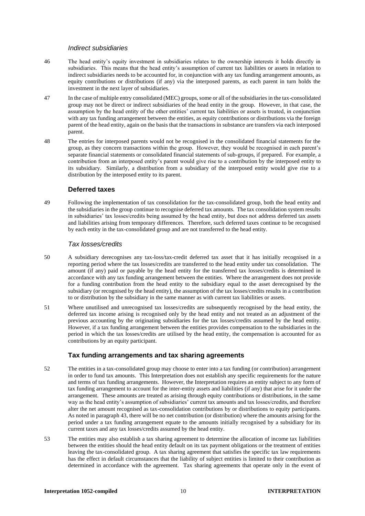#### *Indirect subsidiaries*

- 46 The head entity's equity investment in subsidiaries relates to the ownership interests it holds directly in subsidiaries. This means that the head entity's assumption of current tax liabilities or assets in relation to indirect subsidiaries needs to be accounted for, in conjunction with any tax funding arrangement amounts, as equity contributions or distributions (if any) via the interposed parents, as each parent in turn holds the investment in the next layer of subsidiaries.
- 47 In the case of multiple entry consolidated (MEC) groups, some or all of the subsidiaries in the tax-consolidated group may not be direct or indirect subsidiaries of the head entity in the group. However, in that case, the assumption by the head entity of the other entities' current tax liabilities or assets is treated, in conjunction with any tax funding arrangement between the entities, as equity contributions or distributions via the foreign parent of the head entity, again on the basis that the transactions in substance are transfers via each interposed parent.
- 48 The entries for interposed parents would not be recognised in the consolidated financial statements for the group, as they concern transactions within the group. However, they would be recognised in each parent's separate financial statements or consolidated financial statements of sub-groups, if prepared. For example, a contribution from an interposed entity's parent would give rise to a contribution by the interposed entity to its subsidiary. Similarly, a distribution from a subsidiary of the interposed entity would give rise to a distribution by the interposed entity to its parent.

#### **Deferred taxes**

49 Following the implementation of tax consolidation for the tax-consolidated group, both the head entity and the subsidiaries in the group continue to recognise deferred tax amounts. The tax consolidation system results in subsidiaries' tax losses/credits being assumed by the head entity, but does not address deferred tax assets and liabilities arising from temporary differences. Therefore, such deferred taxes continue to be recognised by each entity in the tax-consolidated group and are not transferred to the head entity.

#### *Tax losses/credits*

- 50 A subsidiary derecognises any tax-loss/tax-credit deferred tax asset that it has initially recognised in a reporting period where the tax losses/credits are transferred to the head entity under tax consolidation. The amount (if any) paid or payable by the head entity for the transferred tax losses/credits is determined in accordance with any tax funding arrangement between the entities. Where the arrangement does not provide for a funding contribution from the head entity to the subsidiary equal to the asset derecognised by the subsidiary (or recognised by the head entity), the assumption of the tax losses/credits results in a contribution to or distribution by the subsidiary in the same manner as with current tax liabilities or assets.
- 51 Where unutilised and unrecognised tax losses/credits are subsequently recognised by the head entity, the deferred tax income arising is recognised only by the head entity and not treated as an adjustment of the previous accounting by the originating subsidiaries for the tax losses/credits assumed by the head entity. However, if a tax funding arrangement between the entities provides compensation to the subsidiaries in the period in which the tax losses/credits are utilised by the head entity, the compensation is accounted for as contributions by an equity participant.

#### **Tax funding arrangements and tax sharing agreements**

- 52 The entities in a tax-consolidated group may choose to enter into a tax funding (or contribution) arrangement in order to fund tax amounts. This Interpretation does not establish any specific requirements for the nature and terms of tax funding arrangements. However, the Interpretation requires an entity subject to any form of tax funding arrangement to account for the inter-entity assets and liabilities (if any) that arise for it under the arrangement. These amounts are treated as arising through equity contributions or distributions, in the same way as the head entity's assumption of subsidiaries' current tax amounts and tax losses/credits, and therefore alter the net amount recognised as tax-consolidation contributions by or distributions to equity participants. As noted in paragraph 43, there will be no net contribution (or distribution) where the amounts arising for the period under a tax funding arrangement equate to the amounts initially recognised by a subsidiary for its current taxes and any tax losses/credits assumed by the head entity.
- 53 The entities may also establish a tax sharing agreement to determine the allocation of income tax liabilities between the entities should the head entity default on its tax payment obligations or the treatment of entities leaving the tax-consolidated group. A tax sharing agreement that satisfies the specific tax law requirements has the effect in default circumstances that the liability of subject entities is limited to their contribution as determined in accordance with the agreement. Tax sharing agreements that operate only in the event of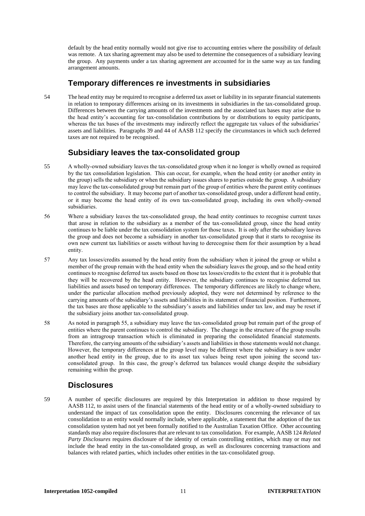default by the head entity normally would not give rise to accounting entries where the possibility of default was remote. A tax sharing agreement may also be used to determine the consequences of a subsidiary leaving the group. Any payments under a tax sharing agreement are accounted for in the same way as tax funding arrangement amounts.

## **Temporary differences re investments in subsidiaries**

54 The head entity may be required to recognise a deferred tax asset or liability in its separate financial statements in relation to temporary differences arising on its investments in subsidiaries in the tax-consolidated group. Differences between the carrying amounts of the investments and the associated tax bases may arise due to the head entity's accounting for tax-consolidation contributions by or distributions to equity participants, whereas the tax bases of the investments may indirectly reflect the aggregate tax values of the subsidiaries' assets and liabilities. Paragraphs 39 and 44 of AASB 112 specify the circumstances in which such deferred taxes are not required to be recognised.

## **Subsidiary leaves the tax-consolidated group**

- 55 A wholly-owned subsidiary leaves the tax-consolidated group when it no longer is wholly owned as required by the tax consolidation legislation. This can occur, for example, when the head entity (or another entity in the group) sells the subsidiary or when the subsidiary issues shares to parties outside the group. A subsidiary may leave the tax-consolidated group but remain part of the group of entities where the parent entity continues to control the subsidiary. It may become part of another tax-consolidated group, under a different head entity, or it may become the head entity of its own tax-consolidated group, including its own wholly-owned subsidiaries.
- 56 Where a subsidiary leaves the tax-consolidated group, the head entity continues to recognise current taxes that arose in relation to the subsidiary as a member of the tax-consolidated group, since the head entity continues to be liable under the tax consolidation system for those taxes. It is only after the subsidiary leaves the group and does not become a subsidiary in another tax-consolidated group that it starts to recognise its own new current tax liabilities or assets without having to derecognise them for their assumption by a head entity.
- 57 Any tax losses/credits assumed by the head entity from the subsidiary when it joined the group or whilst a member of the group remain with the head entity when the subsidiary leaves the group, and so the head entity continues to recognise deferred tax assets based on those tax losses/credits to the extent that it is probable that they will be recovered by the head entity. However, the subsidiary continues to recognise deferred tax liabilities and assets based on temporary differences. The temporary differences are likely to change where, under the particular allocation method previously adopted, they were not determined by reference to the carrying amounts of the subsidiary's assets and liabilities in its statement of financial position. Furthermore, the tax bases are those applicable to the subsidiary's assets and liabilities under tax law, and may be reset if the subsidiary joins another tax-consolidated group.
- 58 As noted in paragraph 55, a subsidiary may leave the tax-consolidated group but remain part of the group of entities where the parent continues to control the subsidiary. The change in the structure of the group results from an intragroup transaction which is eliminated in preparing the consolidated financial statements. Therefore, the carrying amounts of the subsidiary's assets and liabilities in those statements would not change. However, the temporary differences at the group level may be different where the subsidiary is now under another head entity in the group, due to its asset tax values being reset upon joining the second taxconsolidated group. In this case, the group's deferred tax balances would change despite the subsidiary remaining within the group.

## **Disclosures**

59 A number of specific disclosures are required by this Interpretation in addition to those required by AASB 112, to assist users of the financial statements of the head entity or of a wholly-owned subsidiary to understand the impact of tax consolidation upon the entity. Disclosures concerning the relevance of tax consolidation to an entity would normally include, where applicable, a statement that the adoption of the tax consolidation system had not yet been formally notified to the Australian Taxation Office. Other accounting standards may also require disclosures that are relevant to tax consolidation. For example, AASB 124 *Related Party Disclosures* requires disclosure of the identity of certain controlling entities, which may or may not include the head entity in the tax-consolidated group, as well as disclosures concerning transactions and balances with related parties, which includes other entities in the tax-consolidated group.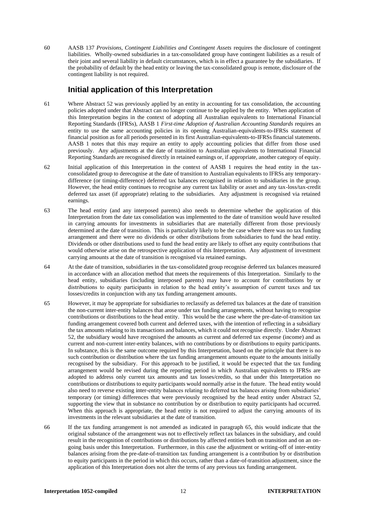60 AASB 137 *Provisions, Contingent Liabilities and Contingent Assets* requires the disclosure of contingent liabilities. Wholly-owned subsidiaries in a tax-consolidated group have contingent liabilities as a result of their joint and several liability in default circumstances, which is in effect a guarantee by the subsidiaries. If the probability of default by the head entity or leaving the tax-consolidated group is remote, disclosure of the contingent liability is not required.

## **Initial application of this Interpretation**

- 61 Where Abstract 52 was previously applied by an entity in accounting for tax consolidation, the accounting policies adopted under that Abstract can no longer continue to be applied by the entity. When application of this Interpretation begins in the context of adopting all Australian equivalents to International Financial Reporting Standards (IFRSs), AASB 1 *First-time Adoption of Australian Accounting Standards* requires an entity to use the same accounting policies in its opening Australian-equivalents-to-IFRSs statement of financial position as for all periods presented in its first Australian-equivalents-to-IFRSs financial statements. AASB 1 notes that this may require an entity to apply accounting policies that differ from those used previously. Any adjustments at the date of transition to Australian equivalents to International Financial Reporting Standards are recognised directly in retained earnings or, if appropriate, another category of equity.
- 62 Initial application of this Interpretation in the context of AASB 1 requires the head entity in the taxconsolidated group to derecognise at the date of transition to Australian equivalents to IFRSs any temporarydifference (or timing-difference) deferred tax balances recognised in relation to subsidiaries in the group. However, the head entity continues to recognise any current tax liability or asset and any tax-loss/tax-credit deferred tax asset (if appropriate) relating to the subsidiaries. Any adjustment is recognised via retained earnings.
- 63 The head entity (and any interposed parents) also needs to determine whether the application of this Interpretation from the date tax consolidation was implemented to the date of transition would have resulted in carrying amounts for investments in subsidiaries that are materially different from those previously determined at the date of transition. This is particularly likely to be the case where there was no tax funding arrangement and there were no dividends or other distributions from subsidiaries to fund the head entity. Dividends or other distributions used to fund the head entity are likely to offset any equity contributions that would otherwise arise on the retrospective application of this Interpretation. Any adjustment of investment carrying amounts at the date of transition is recognised via retained earnings.
- 64 At the date of transition, subsidiaries in the tax-consolidated group recognise deferred tax balances measured in accordance with an allocation method that meets the requirements of this Interpretation. Similarly to the head entity, subsidiaries (including interposed parents) may have to account for contributions by or distributions to equity participants in relation to the head entity's assumption of current taxes and tax losses/credits in conjunction with any tax funding arrangement amounts.
- 65 However, it may be appropriate for subsidiaries to reclassify as deferred tax balances at the date of transition the non-current inter-entity balances that arose under tax funding arrangements, without having to recognise contributions or distributions to the head entity. This would be the case where the pre-date-of-transition tax funding arrangement covered both current and deferred taxes, with the intention of reflecting in a subsidiary the tax amounts relating to its transactions and balances, which it could not recognise directly. Under Abstract 52, the subsidiary would have recognised the amounts as current and deferred tax expense (income) and as current and non-current inter-entity balances, with no contributions by or distributions to equity participants. In substance, this is the same outcome required by this Interpretation, based on the principle that there is no such contribution or distribution where the tax funding arrangement amounts equate to the amounts initially recognised by the subsidiary. For this approach to be justified, it would be expected that the tax funding arrangement would be revised during the reporting period in which Australian equivalents to IFRSs are adopted to address only current tax amounts and tax losses/credits, so that under this Interpretation no contributions or distributions to equity participants would normally arise in the future. The head entity would also need to reverse existing inter-entity balances relating to deferred tax balances arising from subsidiaries' temporary (or timing) differences that were previously recognised by the head entity under Abstract 52, supporting the view that in substance no contribution by or distribution to equity participants had occurred. When this approach is appropriate, the head entity is not required to adjust the carrying amounts of its investments in the relevant subsidiaries at the date of transition.
- 66 If the tax funding arrangement is not amended as indicated in paragraph 65, this would indicate that the original substance of the arrangement was not to effectively reflect tax balances in the subsidiary, and could result in the recognition of contributions or distributions by affected entities both on transition and on an ongoing basis under this Interpretation. Furthermore, in this case the adjustment or writing-off of inter-entity balances arising from the pre-date-of-transition tax funding arrangement is a contribution by or distribution to equity participants in the period in which this occurs, rather than a date-of-transition adjustment, since the application of this Interpretation does not alter the terms of any previous tax funding arrangement.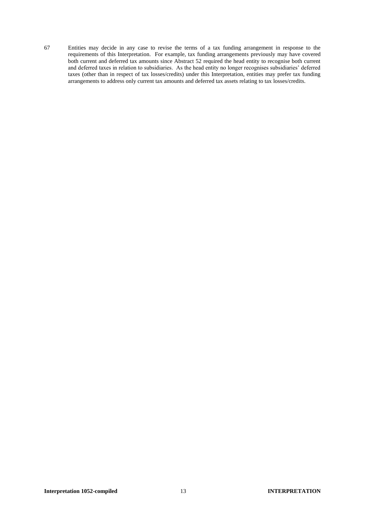67 Entities may decide in any case to revise the terms of a tax funding arrangement in response to the requirements of this Interpretation. For example, tax funding arrangements previously may have covered both current and deferred tax amounts since Abstract 52 required the head entity to recognise both current and deferred taxes in relation to subsidiaries. As the head entity no longer recognises subsidiaries' deferred taxes (other than in respect of tax losses/credits) under this Interpretation, entities may prefer tax funding arrangements to address only current tax amounts and deferred tax assets relating to tax losses/credits.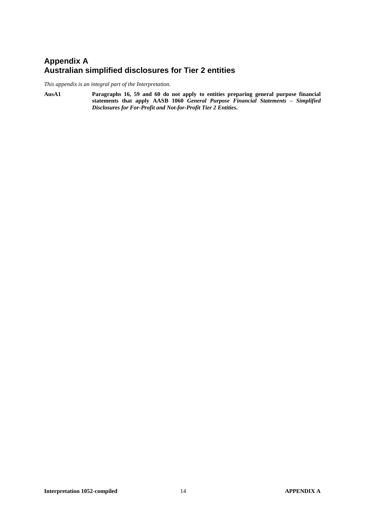# **Appendix A Australian simplified disclosures for Tier 2 entities**

*This appendix is an integral part of the Interpretation.*

**AusA1 Paragraphs 16, 59 and 60 do not apply to entities preparing general purpose financial statements that apply AASB 1060** *General Purpose Financial Statements – Simplified Disclosures for For-Profit and Not-for-Profit Tier 2 Entities***.**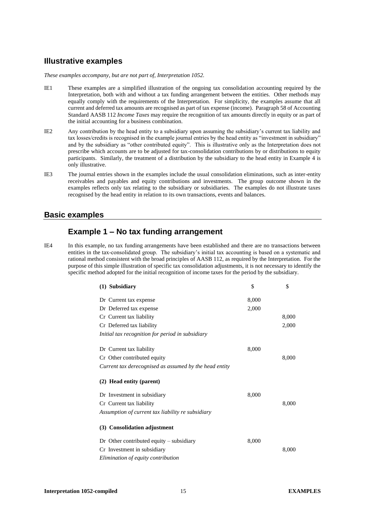## **Illustrative examples**

*These examples accompany, but are not part of, Interpretation 1052.*

- IE1 These examples are a simplified illustration of the ongoing tax consolidation accounting required by the Interpretation, both with and without a tax funding arrangement between the entities. Other methods may equally comply with the requirements of the Interpretation. For simplicity, the examples assume that all current and deferred tax amounts are recognised as part of tax expense (income). Paragraph 58 of Accounting Standard AASB 112 *Income Taxes* may require the recognition of tax amounts directly in equity or as part of the initial accounting for a business combination.
- IE2 Any contribution by the head entity to a subsidiary upon assuming the subsidiary's current tax liability and tax losses/credits is recognised in the example journal entries by the head entity as "investment in subsidiary" and by the subsidiary as "other contributed equity". This is illustrative only as the Interpretation does not prescribe which accounts are to be adjusted for tax-consolidation contributions by or distributions to equity participants. Similarly, the treatment of a distribution by the subsidiary to the head entity in Example 4 is only illustrative.
- IE3 The journal entries shown in the examples include the usual consolidation eliminations, such as inter-entity receivables and payables and equity contributions and investments. The group outcome shown in the examples reflects only tax relating to the subsidiary or subsidiaries. The examples do not illustrate taxes recognised by the head entity in relation to its own transactions, events and balances.

#### **Basic examples**

# **Example 1 – No tax funding arrangement**

IE4 In this example, no tax funding arrangements have been established and there are no transactions between entities in the tax-consolidated group. The subsidiary's initial tax accounting is based on a systematic and rational method consistent with the broad principles of AASB 112, as required by the Interpretation. For the purpose of this simple illustration of specific tax consolidation adjustments, it is not necessary to identify the specific method adopted for the initial recognition of income taxes for the period by the subsidiary.

| \$    | \$    |
|-------|-------|
| 8,000 |       |
| 2,000 |       |
|       | 8,000 |
|       | 2,000 |
|       |       |
| 8,000 | 8,000 |
|       |       |
| 8,000 |       |
|       | 8,000 |
|       |       |
|       |       |
| 8,000 |       |
|       | 8,000 |
|       |       |
|       |       |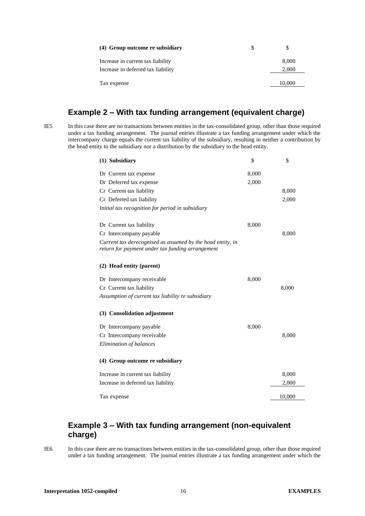| (4) Group outcome re subsidiary    |        |
|------------------------------------|--------|
| Increase in current tax liability  | 8.000  |
| Increase in deferred tax liability | 2,000  |
| Tax expense                        | 10.000 |

# **Example 2 – With tax funding arrangement (equivalent charge)**

IE5 In this case there are no transactions between entities in the tax-consolidated group, other than those required under a tax funding arrangement. The journal entries illustrate a tax funding arrangement under which the intercompany charge equals the current tax liability of the subsidiary, resulting in neither a contribution by the head entity to the subsidiary nor a distribution by the subsidiary to the head entity.

| (1) Subsidiary                                                                                                 | \$    | \$     |
|----------------------------------------------------------------------------------------------------------------|-------|--------|
| Dr Current tax expense                                                                                         | 8,000 |        |
| Dr Deferred tax expense                                                                                        | 2,000 |        |
| Cr Current tax liability                                                                                       |       | 8,000  |
| Cr Deferred tax liability                                                                                      |       | 2,000  |
| Initial tax recognition for period in subsidiary                                                               |       |        |
| Dr Current tax liability                                                                                       | 8,000 |        |
| Cr Intercompany payable                                                                                        |       | 8,000  |
| Current tax derecognised as assumed by the head entity, in<br>return for payment under tax funding arrangement |       |        |
| (2) Head entity (parent)                                                                                       |       |        |
| Dr Intercompany receivable                                                                                     | 8,000 |        |
| Cr Current tax liability                                                                                       |       | 8,000  |
| Assumption of current tax liability re subsidiary                                                              |       |        |
| (3) Consolidation adjustment                                                                                   |       |        |
| Dr Intercompany payable                                                                                        | 8,000 |        |
| Cr Intercompany receivable                                                                                     |       | 8,000  |
| Elimination of balances                                                                                        |       |        |
| (4) Group outcome re subsidiary                                                                                |       |        |
| Increase in current tax liability                                                                              |       | 8,000  |
| Increase in deferred tax liability                                                                             |       | 2,000  |
| Tax expense                                                                                                    |       | 10,000 |

# **Example 3 – With tax funding arrangement (non-equivalent charge)**

IE6 In this case there are no transactions between entities in the tax-consolidated group, other than those required under a tax funding arrangement. The journal entries illustrate a tax funding arrangement under which the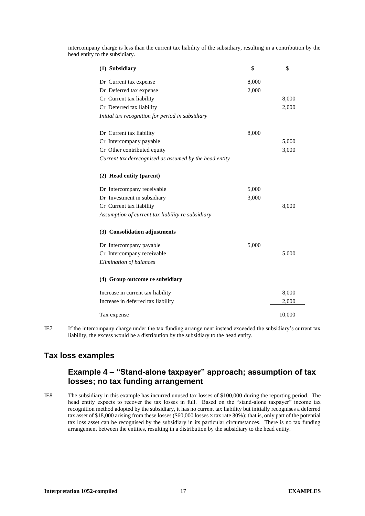intercompany charge is less than the current tax liability of the subsidiary, resulting in a contribution by the head entity to the subsidiary.

| (1) Subsidiary                                         | \$    | \$     |
|--------------------------------------------------------|-------|--------|
| Dr Current tax expense                                 | 8,000 |        |
| Dr Deferred tax expense                                | 2,000 |        |
| Cr Current tax liability                               |       | 8,000  |
| Cr Deferred tax liability                              |       | 2,000  |
| Initial tax recognition for period in subsidiary       |       |        |
| Dr Current tax liability                               | 8,000 |        |
| Cr Intercompany payable                                |       | 5,000  |
| Cr Other contributed equity                            |       | 3,000  |
| Current tax derecognised as assumed by the head entity |       |        |
| (2) Head entity (parent)                               |       |        |
| Dr Intercompany receivable                             | 5,000 |        |
| Dr Investment in subsidiary                            | 3,000 |        |
| Cr Current tax liability                               |       | 8,000  |
| Assumption of current tax liability re subsidiary      |       |        |
| (3) Consolidation adjustments                          |       |        |
| Dr Intercompany payable                                | 5,000 |        |
| Cr Intercompany receivable                             |       | 5,000  |
| Elimination of balances                                |       |        |
| (4) Group outcome re subsidiary                        |       |        |
| Increase in current tax liability                      |       | 8,000  |
| Increase in deferred tax liability                     |       | 2,000  |
| Tax expense                                            |       | 10,000 |

IE7 If the intercompany charge under the tax funding arrangement instead exceeded the subsidiary's current tax liability, the excess would be a distribution by the subsidiary to the head entity.

## **Tax loss examples**

# **Example 4 – "Stand-alone taxpayer" approach; assumption of tax losses; no tax funding arrangement**

IE8 The subsidiary in this example has incurred unused tax losses of \$100,000 during the reporting period. The head entity expects to recover the tax losses in full. Based on the "stand-alone taxpayer" income tax recognition method adopted by the subsidiary, it has no current tax liability but initially recognises a deferred tax asset of \$18,000 arising from these losses (\$60,000 losses × tax rate 30%); that is, only part of the potential tax loss asset can be recognised by the subsidiary in its particular circumstances. There is no tax funding arrangement between the entities, resulting in a distribution by the subsidiary to the head entity.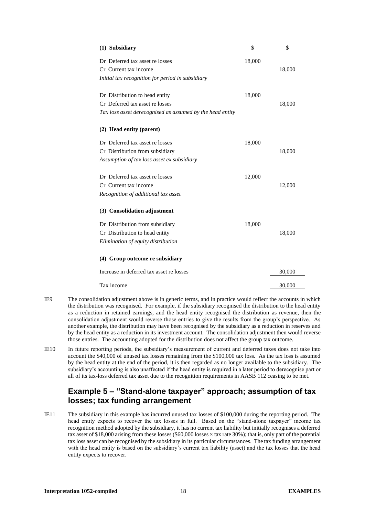| (1) Subsidiary                                            | \$     | \$     |
|-----------------------------------------------------------|--------|--------|
| Dr Deferred tax asset re losses                           | 18,000 |        |
| Cr Current tax income                                     |        | 18,000 |
| Initial tax recognition for period in subsidiary          |        |        |
| Dr Distribution to head entity                            | 18,000 |        |
| Cr Deferred tax asset re losses                           |        | 18,000 |
| Tax loss asset derecognised as assumed by the head entity |        |        |
| (2) Head entity (parent)                                  |        |        |
| Dr Deferred tax asset re losses                           | 18,000 |        |
| Cr Distribution from subsidiary                           |        | 18,000 |
| Assumption of tax loss asset ex subsidiary                |        |        |
| Dr Deferred tax asset re losses                           | 12,000 |        |
| Cr Current tax income                                     |        | 12,000 |
| Recognition of additional tax asset                       |        |        |
| (3) Consolidation adjustment                              |        |        |
| Dr Distribution from subsidiary                           | 18,000 |        |
| Cr Distribution to head entity                            |        | 18,000 |
| Elimination of equity distribution                        |        |        |
| (4) Group outcome re subsidiary                           |        |        |
| Increase in deferred tax asset re losses                  |        | 30,000 |
| Tax income                                                |        | 30,000 |
|                                                           |        |        |

- IE9 The consolidation adjustment above is in generic terms, and in practice would reflect the accounts in which the distribution was recognised. For example, if the subsidiary recognised the distribution to the head entity as a reduction in retained earnings, and the head entity recognised the distribution as revenue, then the consolidation adjustment would reverse those entries to give the results from the group's perspective. As another example, the distribution may have been recognised by the subsidiary as a reduction in reserves and by the head entity as a reduction in its investment account. The consolidation adjustment then would reverse those entries. The accounting adopted for the distribution does not affect the group tax outcome.
- IE10 In future reporting periods, the subsidiary's measurement of current and deferred taxes does not take into account the \$40,000 of unused tax losses remaining from the \$100,000 tax loss. As the tax loss is assumed by the head entity at the end of the period, it is then regarded as no longer available to the subsidiary. The subsidiary's accounting is also unaffected if the head entity is required in a later period to derecognise part or all of its tax-loss deferred tax asset due to the recognition requirements in AASB 112 ceasing to be met.

# **Example 5 – "Stand-alone taxpayer" approach; assumption of tax losses; tax funding arrangement**

IE11 The subsidiary in this example has incurred unused tax losses of \$100,000 during the reporting period. The head entity expects to recover the tax losses in full. Based on the "stand-alone taxpayer" income tax recognition method adopted by the subsidiary, it has no current tax liability but initially recognises a deferred tax asset of \$18,000 arising from these losses (\$60,000 losses × tax rate 30%); that is, only part of the potential tax loss asset can be recognised by the subsidiary in its particular circumstances. The tax funding arrangement with the head entity is based on the subsidiary's current tax liability (asset) and the tax losses that the head entity expects to recover.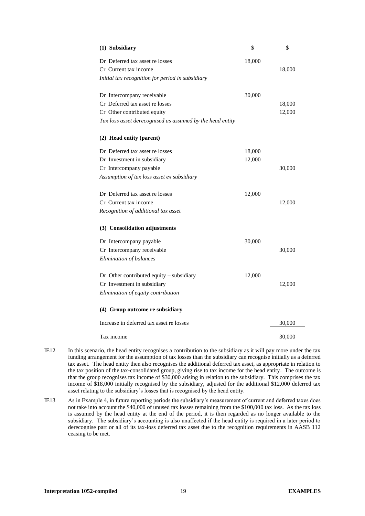| (1) Subsidiary                                            | \$     | \$     |
|-----------------------------------------------------------|--------|--------|
| Dr Deferred tax asset re losses                           | 18,000 |        |
| Cr Current tax income                                     |        | 18,000 |
| Initial tax recognition for period in subsidiary          |        |        |
| Dr Intercompany receivable                                | 30,000 |        |
| Cr Deferred tax asset re losses                           |        | 18,000 |
| Cr Other contributed equity                               |        | 12,000 |
| Tax loss asset derecognised as assumed by the head entity |        |        |
| (2) Head entity (parent)                                  |        |        |
| Dr Deferred tax asset re losses                           | 18,000 |        |
| Dr Investment in subsidiary                               | 12,000 |        |
| Cr Intercompany payable                                   |        | 30,000 |
| Assumption of tax loss asset ex subsidiary                |        |        |
| Dr Deferred tax asset re losses                           | 12,000 |        |
| Cr Current tax income                                     |        | 12,000 |
| Recognition of additional tax asset                       |        |        |
| (3) Consolidation adjustments                             |        |        |
| Dr Intercompany payable                                   | 30,000 |        |
| Cr Intercompany receivable                                |        | 30,000 |
| Elimination of balances                                   |        |        |
| Dr Other contributed equity $-$ subsidiary                | 12,000 |        |
| Cr Investment in subsidiary                               |        | 12,000 |
| Elimination of equity contribution                        |        |        |
| (4) Group outcome re subsidiary                           |        |        |
| Increase in deferred tax asset re losses                  |        | 30,000 |
| Tax income                                                |        | 30,000 |

- IE12 In this scenario, the head entity recognises a contribution to the subsidiary as it will pay more under the tax funding arrangement for the assumption of tax losses than the subsidiary can recognise initially as a deferred tax asset. The head entity then also recognises the additional deferred tax asset, as appropriate in relation to the tax position of the tax-consolidated group, giving rise to tax income for the head entity. The outcome is that the group recognises tax income of \$30,000 arising in relation to the subsidiary. This comprises the tax income of \$18,000 initially recognised by the subsidiary, adjusted for the additional \$12,000 deferred tax asset relating to the subsidiary's losses that is recognised by the head entity.
- IE13 As in Example 4, in future reporting periods the subsidiary's measurement of current and deferred taxes does not take into account the \$40,000 of unused tax losses remaining from the \$100,000 tax loss. As the tax loss is assumed by the head entity at the end of the period, it is then regarded as no longer available to the subsidiary. The subsidiary's accounting is also unaffected if the head entity is required in a later period to derecognise part or all of its tax-loss deferred tax asset due to the recognition requirements in AASB 112 ceasing to be met.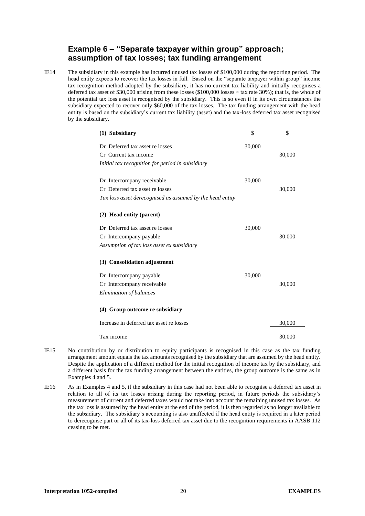# **Example 6 – "Separate taxpayer within group" approach; assumption of tax losses; tax funding arrangement**

IE14 The subsidiary in this example has incurred unused tax losses of \$100,000 during the reporting period. The head entity expects to recover the tax losses in full. Based on the "separate taxpayer within group" income tax recognition method adopted by the subsidiary, it has no current tax liability and initially recognises a deferred tax asset of \$30,000 arising from these losses (\$100,000 losses × tax rate 30%); that is, the whole of the potential tax loss asset is recognised by the subsidiary. This is so even if in its own circumstances the subsidiary expected to recover only \$60,000 of the tax losses. The tax funding arrangement with the head entity is based on the subsidiary's current tax liability (asset) and the tax-loss deferred tax asset recognised by the subsidiary.

| (1) Subsidiary                                            | \$     | \$     |
|-----------------------------------------------------------|--------|--------|
| Dr. Deferred tax asset re losses                          | 30,000 |        |
| Cr Current tax income                                     |        | 30,000 |
| Initial tax recognition for period in subsidiary          |        |        |
|                                                           |        |        |
| Dr Intercompany receivable                                | 30,000 |        |
| Cr Deferred tax asset re losses                           |        | 30,000 |
| Tax loss asset derecognised as assumed by the head entity |        |        |
| (2) Head entity (parent)                                  |        |        |
| Dr. Deferred tax asset re losses                          | 30,000 |        |
| Cr Intercompany payable                                   |        | 30,000 |
| Assumption of tax loss asset ex subsidiary                |        |        |
| (3) Consolidation adjustment                              |        |        |
| Dr Intercompany payable                                   | 30,000 |        |
| Cr Intercompany receivable                                |        | 30,000 |
| Elimination of balances                                   |        |        |
| (4) Group outcome re subsidiary                           |        |        |
| Increase in deferred tax asset re losses                  |        | 30,000 |
| Tax income                                                |        | 30,000 |

- IE15 No contribution by or distribution to equity participants is recognised in this case as the tax funding arrangement amount equals the tax amounts recognised by the subsidiary that are assumed by the head entity. Despite the application of a different method for the initial recognition of income tax by the subsidiary, and a different basis for the tax funding arrangement between the entities, the group outcome is the same as in Examples 4 and 5.
- IE16 As in Examples 4 and 5, if the subsidiary in this case had not been able to recognise a deferred tax asset in relation to all of its tax losses arising during the reporting period, in future periods the subsidiary's measurement of current and deferred taxes would not take into account the remaining unused tax losses. As the tax loss is assumed by the head entity at the end of the period, it is then regarded as no longer available to the subsidiary. The subsidiary's accounting is also unaffected if the head entity is required in a later period to derecognise part or all of its tax-loss deferred tax asset due to the recognition requirements in AASB 112 ceasing to be met.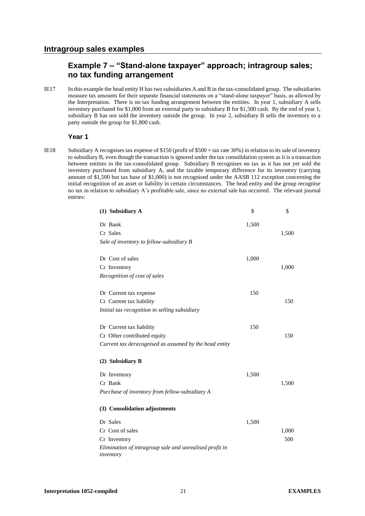# **Example 7 – "Stand-alone taxpayer" approach; intragroup sales; no tax funding arrangement**

IE17 In this example the head entity H has two subsidiaries A and B in the tax-consolidated group. The subsidiaries measure tax amounts for their separate financial statements on a "stand-alone taxpayer" basis, as allowed by the Interpretation. There is no tax funding arrangement between the entities. In year 1, subsidiary A sells inventory purchased for \$1,000 from an external party to subsidiary B for \$1,500 cash. By the end of year 1, subsidiary B has not sold the inventory outside the group. In year 2, subsidiary B sells the inventory to a party outside the group for \$1,800 cash.

#### **Year 1**

IE18 Subsidiary A recognises tax expense of \$150 (profit of \$500  $\times$  tax rate 30%) in relation to its sale of inventory to subsidiary B, even though the transaction is ignored under the tax consolidation system as it is a transaction between entities in the tax-consolidated group. Subsidiary B recognises no tax as it has not yet sold the inventory purchased from subsidiary A, and the taxable temporary difference for its inventory (carrying amount of \$1,500 but tax base of \$1,000) is not recognised under the AASB 112 exception concerning the initial recognition of an asset or liability in certain circumstances. The head entity and the group recognise no tax in relation to subsidiary A's profitable sale, since no external sale has occurred. The relevant journal entries:

| (1) Subsidiary A                                                     | \$    | \$    |
|----------------------------------------------------------------------|-------|-------|
| Dr Bank                                                              | 1,500 |       |
| Cr Sales                                                             |       | 1,500 |
| Sale of inventory to fellow-subsidiary B                             |       |       |
|                                                                      |       |       |
| Dr Cost of sales                                                     | 1,000 |       |
| Cr Inventory                                                         |       | 1,000 |
| Recognition of cost of sales                                         |       |       |
| Dr Current tax expense                                               | 150   |       |
| Cr Current tax liability                                             |       | 150   |
| Initial tax recognition in selling subsidiary                        |       |       |
| Dr Current tax liability                                             | 150   |       |
| Cr Other contributed equity                                          |       | 150   |
| Current tax derecognised as assumed by the head entity               |       |       |
|                                                                      |       |       |
| (2) Subsidiary B                                                     |       |       |
| Dr Inventory                                                         | 1,500 |       |
| Cr Bank                                                              |       | 1,500 |
| Purchase of inventory from fellow-subsidiary A                       |       |       |
| (3) Consolidation adjustments                                        |       |       |
| Dr Sales                                                             | 1,500 |       |
| Cr Cost of sales                                                     |       | 1,000 |
| Cr Inventory                                                         |       | 500   |
| Elimination of intragroup sale and unrealised profit in<br>inventory |       |       |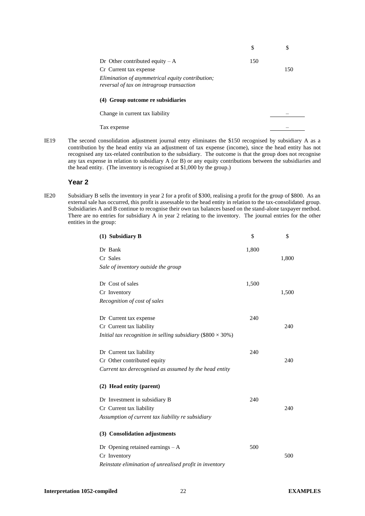|                                                                                               | \$  |     |
|-----------------------------------------------------------------------------------------------|-----|-----|
| Dr Other contributed equity $-A$                                                              | 150 |     |
| Cr Current tax expense                                                                        |     | 150 |
| Elimination of asymmetrical equity contribution;<br>reversal of tax on intragroup transaction |     |     |
| (4) Group outcome re subsidiaries                                                             |     |     |
| Change in current tax liability                                                               |     |     |
| Tax expense                                                                                   |     |     |

IE19 The second consolidation adjustment journal entry eliminates the \$150 recognised by subsidiary A as a contribution by the head entity via an adjustment of tax expense (income), since the head entity has not recognised any tax-related contribution to the subsidiary. The outcome is that the group does not recognise any tax expense in relation to subsidiary A (or B) or any equity contributions between the subsidiaries and the head entity. (The inventory is recognised at \$1,000 by the group.)

#### **Year 2**

IE20 Subsidiary B sells the inventory in year 2 for a profit of \$300, realising a profit for the group of \$800. As an external sale has occurred, this profit is assessable to the head entity in relation to the tax-consolidated group. Subsidiaries A and B continue to recognise their own tax balances based on the stand-alone taxpayer method. There are no entries for subsidiary A in year 2 relating to the inventory. The journal entries for the other entities in the group:

| (1) Subsidiary B                                                   | \$    | \$    |
|--------------------------------------------------------------------|-------|-------|
| Dr Bank                                                            | 1,800 |       |
| Cr Sales                                                           |       | 1,800 |
| Sale of inventory outside the group                                |       |       |
|                                                                    |       |       |
| Dr Cost of sales                                                   | 1,500 |       |
| Cr Inventory                                                       |       | 1,500 |
| Recognition of cost of sales                                       |       |       |
|                                                                    |       |       |
| Dr Current tax expense                                             | 240   |       |
| Cr Current tax liability                                           |       | 240   |
| Initial tax recognition in selling subsidiary (\$800 $\times$ 30%) |       |       |
| Dr Current tax liability                                           | 240   |       |
| Cr Other contributed equity                                        |       | 240   |
| Current tax derecognised as assumed by the head entity             |       |       |
| (2) Head entity (parent)                                           |       |       |
| Dr Investment in subsidiary B                                      | 240   |       |
| Cr Current tax liability                                           |       | 240   |
| Assumption of current tax liability re subsidiary                  |       |       |
| (3) Consolidation adjustments                                      |       |       |
| Dr Opening retained earnings $- A$                                 | 500   |       |
| Cr Inventory                                                       |       | 500   |
| Reinstate elimination of unrealised profit in inventory            |       |       |
|                                                                    |       |       |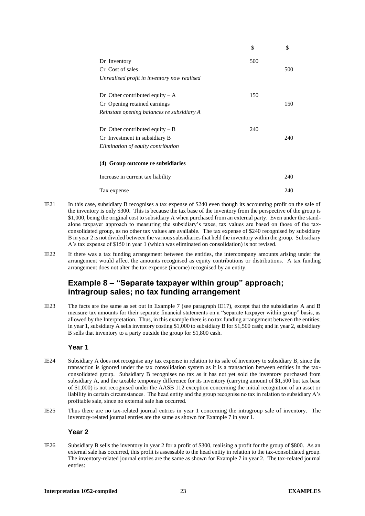|                                             | \$  | \$  |
|---------------------------------------------|-----|-----|
| Dr Inventory                                | 500 |     |
| Cr. Cost of sales                           |     | 500 |
| Unrealised profit in inventory now realised |     |     |
| Dr Other contributed equity $-A$            | 150 |     |
| Cr Opening retained earnings                |     | 150 |
| Reinstate opening balances re subsidiary A  |     |     |
| Dr Other contributed equity $-B$            | 240 |     |
| Cr Investment in subsidiary B               |     | 240 |
| Elimination of equity contribution          |     |     |
| (4) Group outcome re subsidiaries           |     |     |
| Increase in current tax liability           |     | 240 |
| Tax expense                                 |     | 240 |
|                                             |     |     |

- IE21 In this case, subsidiary B recognises a tax expense of \$240 even though its accounting profit on the sale of the inventory is only \$300. This is because the tax base of the inventory from the perspective of the group is \$1,000, being the original cost to subsidiary A when purchased from an external party. Even under the standalone taxpayer approach to measuring the subsidiary's taxes, tax values are based on those of the taxconsolidated group, as no other tax values are available. The tax expense of \$240 recognised by subsidiary B in year 2 is not divided between the various subsidiaries that held the inventory within the group. Subsidiary A's tax expense of \$150 in year 1 (which was eliminated on consolidation) is not revised.
- IE22 If there was a tax funding arrangement between the entities, the intercompany amounts arising under the arrangement would affect the amounts recognised as equity contributions or distributions. A tax funding arrangement does not alter the tax expense (income) recognised by an entity.

# **Example 8 – "Separate taxpayer within group" approach; intragroup sales; no tax funding arrangement**

IE23 The facts are the same as set out in Example 7 (see paragraph IE17), except that the subsidiaries A and B measure tax amounts for their separate financial statements on a "separate taxpayer within group" basis, as allowed by the Interpretation. Thus, in this example there is no tax funding arrangement between the entities; in year 1, subsidiary A sells inventory costing \$1,000 to subsidiary B for \$1,500 cash; and in year 2, subsidiary B sells that inventory to a party outside the group for \$1,800 cash.

#### **Year 1**

- IE24 Subsidiary A does not recognise any tax expense in relation to its sale of inventory to subsidiary B, since the transaction is ignored under the tax consolidation system as it is a transaction between entities in the taxconsolidated group. Subsidiary B recognises no tax as it has not yet sold the inventory purchased from subsidiary A, and the taxable temporary difference for its inventory (carrying amount of \$1,500 but tax base of \$1,000) is not recognised under the AASB 112 exception concerning the initial recognition of an asset or liability in certain circumstances. The head entity and the group recognise no tax in relation to subsidiary A's profitable sale, since no external sale has occurred.
- IE25 Thus there are no tax-related journal entries in year 1 concerning the intragroup sale of inventory. The inventory-related journal entries are the same as shown for Example 7 in year 1.

#### **Year 2**

IE26 Subsidiary B sells the inventory in year 2 for a profit of \$300, realising a profit for the group of \$800. As an external sale has occurred, this profit is assessable to the head entity in relation to the tax-consolidated group. The inventory-related journal entries are the same as shown for Example 7 in year 2. The tax-related journal entries: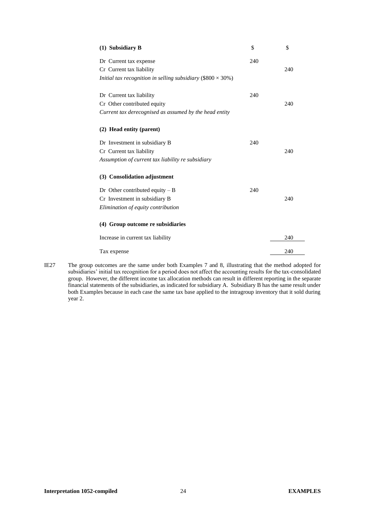| (1) Subsidiary B                                                   | \$  | \$  |
|--------------------------------------------------------------------|-----|-----|
| Dr Current tax expense                                             | 240 |     |
| Cr Current tax liability                                           |     | 240 |
| Initial tax recognition in selling subsidiary (\$800 $\times$ 30%) |     |     |
| Dr Current tax liability                                           | 240 |     |
| Cr Other contributed equity                                        |     | 240 |
| Current tax derecognised as assumed by the head entity             |     |     |
| (2) Head entity (parent)                                           |     |     |
| Dr Investment in subsidiary B                                      | 240 |     |
| Cr Current tax liability                                           |     | 240 |
| Assumption of current tax liability re subsidiary                  |     |     |
| (3) Consolidation adjustment                                       |     |     |
| Dr Other contributed equity $-B$                                   | 240 |     |
| Cr Investment in subsidiary B                                      |     | 240 |
| Elimination of equity contribution                                 |     |     |
| (4) Group outcome re subsidiaries                                  |     |     |
| Increase in current tax liability                                  |     | 240 |
| Tax expense                                                        |     | 240 |

IE27 The group outcomes are the same under both Examples 7 and 8, illustrating that the method adopted for subsidiaries' initial tax recognition for a period does not affect the accounting results for the tax-consolidated group. However, the different income tax allocation methods can result in different reporting in the separate financial statements of the subsidiaries, as indicated for subsidiary A. Subsidiary B has the same result under both Examples because in each case the same tax base applied to the intragroup inventory that it sold during year 2.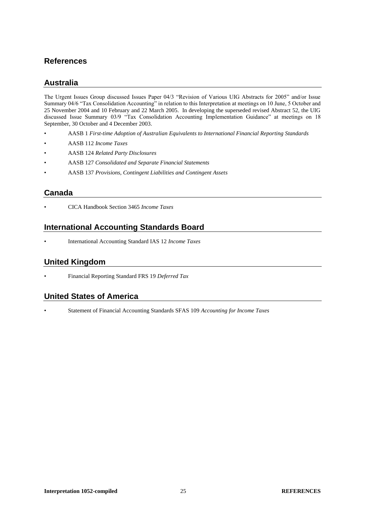# **References**

# **Australia**

The Urgent Issues Group discussed Issues Paper 04/3 "Revision of Various UIG Abstracts for 2005" and/or Issue Summary 04/6 "Tax Consolidation Accounting" in relation to this Interpretation at meetings on 10 June, 5 October and 25 November 2004 and 10 February and 22 March 2005. In developing the superseded revised Abstract 52, the UIG discussed Issue Summary 03/9 "Tax Consolidation Accounting Implementation Guidance" at meetings on 18 September, 30 October and 4 December 2003.

- AASB 1 *First-time Adoption of Australian Equivalents to International Financial Reporting Standards*
- AASB 112 *Income Taxes*
- AASB 124 *Related Party Disclosures*
- AASB 127 *Consolidated and Separate Financial Statements*
- AASB 137 *Provisions, Contingent Liabilities and Contingent Assets*

# **Canada**

• CICA Handbook Section 3465 *Income Taxes*

# **International Accounting Standards Board**

• International Accounting Standard IAS 12 *Income Taxes*

# **United Kingdom**

• Financial Reporting Standard FRS 19 *Deferred Tax*

## **United States of America**

• Statement of Financial Accounting Standards SFAS 109 *Accounting for Income Taxes*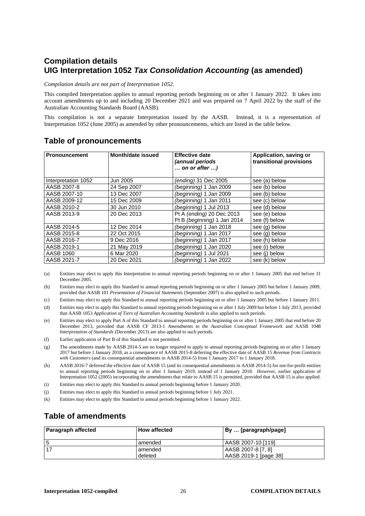# **Compilation details UIG Interpretation 1052** *Tax Consolidation Accounting* **(as amended)**

*Compilation details are not part of Interpretation 1052.*

This compiled Interpretation applies to annual reporting periods beginning on or after 1 January 2022. It takes into account amendments up to and including 20 December 2021 and was prepared on 7 April 2022 by the staff of the Australian Accounting Standards Board (AASB).

This compilation is not a separate Interpretation issued by the AASB. Instead, it is a representation of Interpretation 1052 (June 2005) as amended by other pronouncements, which are listed in the table below.

| <b>Pronouncement</b> | Month/date issued | <b>Effective date</b><br><i>(annual periods</i><br>on or after ) | Application, saving or<br>transitional provisions |
|----------------------|-------------------|------------------------------------------------------------------|---------------------------------------------------|
| Interpretation 1052  | Jun 2005          | <i>(ending)</i> 31 Dec 2005                                      | see (a) below                                     |
| AASB 2007-8          | 24 Sep 2007       | (beginning) 1 Jan 2009                                           | see (b) below                                     |
| AASB 2007-10         | 13 Dec 2007       | (beginning) 1 Jan 2009                                           | see (b) below                                     |
| AASB 2009-12         | 15 Dec 2009       | (beginning) 1 Jan 2011                                           | see (c) below                                     |
| AASB 2010-2          | 30 Jun 2010       | (beginning) 1 Jul 2013                                           | see (d) below                                     |
| AASB 2013-9          | 20 Dec 2013       | Pt A (ending) 20 Dec 2013<br>Pt B (beginning) 1 Jan 2014         | see (e) below<br>see (f) below                    |
| AASB 2014-5          | 12 Dec 2014       | (beginning) 1 Jan 2018                                           | see (g) below                                     |
| AASB 2015-8          | 22 Oct 2015       | (beginning) 1 Jan 2017                                           | see (g) below                                     |
| AASB 2016-7          | 9 Dec 2016        | (beginning) 1 Jan 2017                                           | see (h) below                                     |
| AASB 2019-1          | 21 May 2019       | (beginning) 1 Jan 2020                                           | see (i) below                                     |
| AASB 1060            | 6 Mar 2020        | (beginning) 1 Jul 2021                                           | see (i) below                                     |
| AASB 2021-7          | 20 Dec 2021       | (beginning) 1 Jan 2022                                           | see (k) below                                     |

## **Table of pronouncements**

(a) Entities may elect to apply this Interpretation to annual reporting periods beginning on or after 1 January 2005 that end before 31 December 2005.

(b) Entities may elect to apply this Standard to annual reporting periods beginning on or after 1 January 2005 but before 1 January 2009, provided that AASB 101 *Presentation of Financial Statements* (September 2007) is also applied to such periods.

- (c) Entities may elect to apply this Standard to annual reporting periods beginning on or after 1 January 2005 but before 1 January 2011.
- (d) Entities may elect to apply this Standard to annual reporting periods beginning on or after 1 July 2009 but before 1 July 2013, provided that AASB 1053 *Application of Tiers of Australian Accounting Standards* is also applied to such periods.
- (e) Entities may elect to apply Part A of this Standard to annual reporting periods beginning on or after 1 January 2005 that end before 20 December 2013, provided that AASB CF 2013-1 *Amendments to the Australian Conceptual Framework* and AASB 1048 *Interpretation of Standards* (December 2013) are also applied to such periods.
- (f) Earlier application of Part B of this Standard is not permitted.
- (g) The amendments made by AASB 2014-5 are no longer required to apply to annual reporting periods beginning on or after 1 January 2017 but before 1 January 2018, as a consequence of AASB 2015-8 deferring the effective date of AASB 15 *Revenue from Contracts with Customers* (and its consequential amendments in AASB 2014-5) from 1 January 2017 to 1 January 2018.
- (h) AASB 2016-7 deferred the effective date of AASB 15 (and its consequential amendments in AASB 2014-5) for not-for-profit entities to annual reporting periods beginning on or after 1 January 2019, instead of 1 January 2018. However, earlier application of Interpretation 1052 (2005) incorporating the amendments that relate to AASB 15 is permitted, provided that AASB 15 is also applied.
- (i) Entities may elect to apply this Standard to annual periods beginning before 1 January 2020.
- (j) Entities may elect to apply this Standard to annual periods beginning before 1 July 2021.
- (k) Entities may elect to apply this Standard to annual periods beginning before 1 January 2022.

# **Table of amendments**

| <b>Paragraph affected</b> | <b>How affected</b>  | By  [paragraph/page]                        |
|---------------------------|----------------------|---------------------------------------------|
|                           | l amended            | LAASB 2007-10 [119]                         |
|                           | l amended<br>deleted | AASB 2007-8 [7, 8]<br>AASB 2019-1 [page 38] |